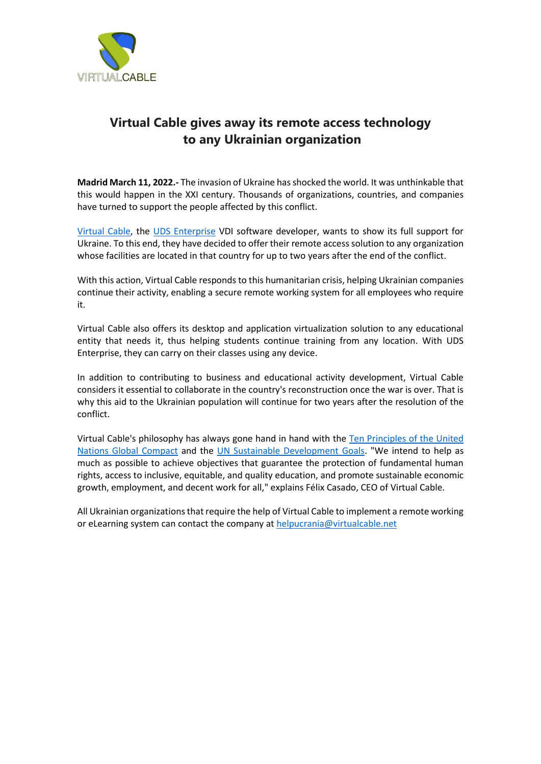

# **Virtual Cable gives away its remote access technology to any Ukrainian organization**

**Madrid March 11, 2022.-** The invasion of Ukraine has shocked the world. It was unthinkable that this would happen in the XXI century. Thousands of organizations, countries, and companies have turned to support the people affected by this conflict.

[Virtual Cable,](https://www.virtualcable.net/en/) the [UDS Enterprise](https://www.udsenterprise.com/en/) VDI software developer, wants to show its full support for Ukraine. To this end, they have decided to offer their remote access solution to any organization whose facilities are located in that country for up to two years after the end of the conflict.

With this action, Virtual Cable responds to this humanitarian crisis, helping Ukrainian companies continue their activity, enabling a secure remote working system for all employees who require it.

Virtual Cable also offers its desktop and application virtualization solution to any educational entity that needs it, thus helping students continue training from any location. With UDS Enterprise, they can carry on their classes using any device.

In addition to contributing to business and educational activity development, Virtual Cable considers it essential to collaborate in the country's reconstruction once the war is over. That is why this aid to the Ukrainian population will continue for two years after the resolution of the conflict.

Virtual Cable's philosophy has always gone hand in hand with the [Ten Principles of the United](https://www.unglobalcompact.org/what-is-gc/mission/principles)  [Nations Global Compact](https://www.unglobalcompact.org/what-is-gc/mission/principles) and the [UN Sustainable Development Goals.](https://www.un.org/sustainabledevelopment/) "We intend to help as much as possible to achieve objectives that guarantee the protection of fundamental human rights, access to inclusive, equitable, and quality education, and promote sustainable economic growth, employment, and decent work for all," explains Félix Casado, CEO of Virtual Cable.

All Ukrainian organizations that require the help of Virtual Cable to implement a remote working or eLearning system can contact the company at [helpucrania@virtualcable.net](mailto:helpucrania@virtualcable.net)